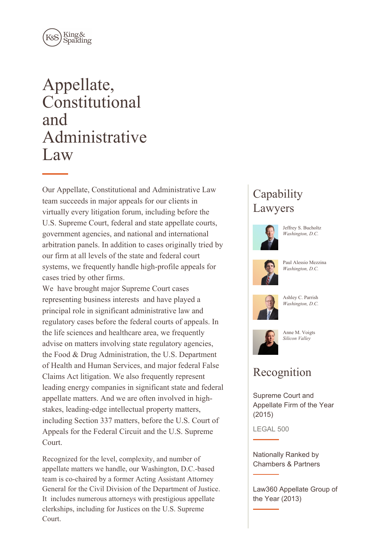

# Appellate, Constitutional and Administrative Law

Our Appellate, Constitutional and Administrative Law team succeeds in major appeals for our clients in virtually every litigation forum, including before the U.S. Supreme Court, federal and state appellate courts, government agencies, and national and international arbitration panels. In addition to cases originally tried by our firm at all levels of the state and federal court systems, we frequently handle high-profile appeals for cases tried by other firms.

We have brought major Supreme Court cases representing business interests and have played a principal role in significant administrative law and regulatory cases before the federal courts of appeals. In the life sciences and healthcare area, we frequently advise on matters involving state regulatory agencies, the Food & Drug Administration, the U.S. Department of Health and Human Services, and major federal False Claims Act litigation. We also frequently represent leading energy companies in significant state and federal appellate matters. And we are often involved in highstakes, leading-edge intellectual property matters, including Section 337 matters, before the U.S. Court of Appeals for the Federal Circuit and the U.S. Supreme Court.

Recognized for the level, complexity, and number of appellate matters we handle, our Washington, D.C.-based team is co-chaired by a former Acting Assistant Attorney General for the Civil Division of the Department of Justice. It includes numerous attorneys with prestigious appellate clerkships, including for Justices on the U.S. Supreme Court.

# **Capability** Lawyers



Jeffrey S. Bucholtz *Washington, D.C.*



Paul Alessio Mezzina *Washington, D.C.*



Ashley C. Parrish *Washington, D.C.*



Anne M. Voigts *Silicon Valley*

# Recognition

Supreme Court and Appellate Firm of the Year (2015)

LEGAL 500

Nationally Ranked by Chambers & Partners

Law360 Appellate Group of the Year (2013)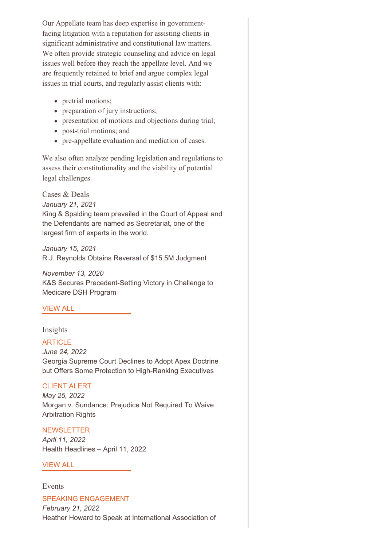Our Appellate team has deep expertise in governmentfacing litigation with a reputation for assisting clients in significant administrative and constitutional law matters. We often provide strategic counseling and advice on legal issues well before they reach the appellate level. And we are frequently retained to brief and argue complex legal issues in trial courts, and regularly assist clients with:

- pretrial motions;
- preparation of jury instructions;
- presentation of motions and objections during trial;
- post-trial motions; and
- pre-appellate evaluation and mediation of cases.

We also often analyze pending legislation and regulations to assess their constitutionality and the viability of potential legal challenges.

Cases & Deals *January 21, 2021* King & Spalding team prevailed in the Court of Appeal and the Defendants are named as Secretariat, one of the largest firm of experts in the world.

*January 15, 2021* R.J. Reynolds Obtains Reversal of \$15.5M Judgment

*November 13, 2020* K&S Secures Precedent-Setting Victory in Challenge to Medicare DSH Program

# [VIEW](https://www.kslaw.com/news-and-insights?capability_id=2&locale=en&post_category_id=1&post_type=0) ALL

#### Insights

ARTICLE

*June 24, 2022* Georgia Supreme Court Declines to Adopt Apex Doctrine but Offers Some Protection to High-Ranking Executives

#### CLIENT ALERT

*May 25, 2022* Morgan v. Sundance: Prejudice Not Required To Waive Arbitration Rights

**NEWSLETTER** *April 11, 2022* Health Headlines – April 11, 2022

#### [VIEW](https://www.kslaw.com/news-and-insights?capability_id=2&locale=en&post_type=2) ALL

#### Events

SPEAKING ENGAGEMENT

*February 21, 2022* Heather Howard to Speak at International Association of